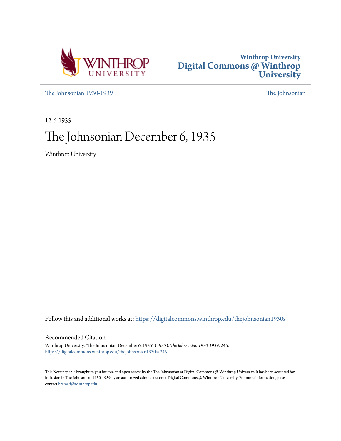



[The Johnsonian 1930-1939](https://digitalcommons.winthrop.edu/thejohnsonian1930s?utm_source=digitalcommons.winthrop.edu%2Fthejohnsonian1930s%2F245&utm_medium=PDF&utm_campaign=PDFCoverPages) [The Johnsonian](https://digitalcommons.winthrop.edu/thejohnsonian_newspaper?utm_source=digitalcommons.winthrop.edu%2Fthejohnsonian1930s%2F245&utm_medium=PDF&utm_campaign=PDFCoverPages)

12-6-1935

# The Johnsonian December 6, 1935

Winthrop University

Follow this and additional works at: [https://digitalcommons.winthrop.edu/thejohnsonian1930s](https://digitalcommons.winthrop.edu/thejohnsonian1930s?utm_source=digitalcommons.winthrop.edu%2Fthejohnsonian1930s%2F245&utm_medium=PDF&utm_campaign=PDFCoverPages)

### Recommended Citation

Winthrop University, "The Johnsonian December 6, 1935" (1935). *The Johnsonian 1930-1939*. 245. [https://digitalcommons.winthrop.edu/thejohnsonian1930s/245](https://digitalcommons.winthrop.edu/thejohnsonian1930s/245?utm_source=digitalcommons.winthrop.edu%2Fthejohnsonian1930s%2F245&utm_medium=PDF&utm_campaign=PDFCoverPages)

This Newspaper is brought to you for free and open access by the The Johnsonian at Digital Commons @ Winthrop University. It has been accepted for inclusion in The Johnsonian 1930-1939 by an authorized administrator of Digital Commons @ Winthrop University. For more information, please contact [bramed@winthrop.edu](mailto:bramed@winthrop.edu).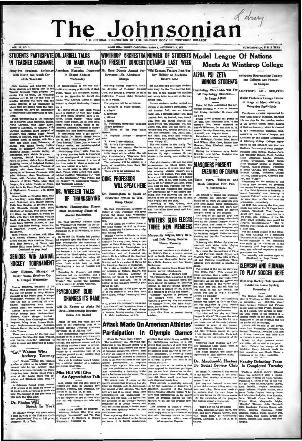# of drawn The Jol hnsonian OFFICIAL PUBLICATION OF THE STUDENT BODY OF WINTHROP

### VOL. 13, NO. 11  $-$ THE CARGERY WITH IT ROOM  $\overline{\phantom{a}}$ WINTHROP ORCHESTRA NUMBER OF STUDENTS Model League Of Nations STUDENTS PARTICIPATE DR. JARRELL TALKS ON MARK TWAIN TO PRESENT CONCERT DETAINED LAST WEEK **IN TEACHER EXCHANGE Meets At Winthrop College** American Humorist Dis Mr. Gore Directs, Annual Per. Wild Exenues Feature Post-Tur Sixty-five Students Exchange kay Holiday as Students ALPHA PSI 7FTA With North and South Carin Chapel Address **Delegated Representing Twenty. Wednesday** Channel **Return Late** oligh Teachers one Colleges Are Present **HONORS STUDENTS**  $\sim$ Sixty teachers and staty-five Win-<br>The remembrance of the one hundrog state of the conductor rate taking part in the gredia anniversary of the birth of Mark Theorem The<br>change West program De- Twain, which was celebrated ats hundred and fifty-eight stud Winthrop Coll Orchestra, unde the direction of Professor Emmet ent away for the Thankaziving hold Psychology Club Holds Tea For CONTESTS AND DERATES Gore, will present a program in Main<br>Auditorium Tuesday night, December ever and of the combat one housing World Problems Occupy Center

practice teaching will work with the custom "The Literary Worte of Mark lectures are<br>the factoring to the community in Twain" in chapt Welfeston, December<br>which they are placed, while the regular teaching the factor with<br>

Neuth Carolina, with Mary Alisa; Month Carolina, with Mary Alisa, and Eiliano<br>In McDanald, of Omital, with Minimids Baltimov, Mary Burgard, of Dio<br>Beltimov, with Martina Baker; Maled Abbott, of Wellfred, with Martina Bake

Perguson.<br>
Orace Smith, of Drayton Mills, with<br>
Orace Smith, of Biythe-<br>
wood Grammar, with Extend Greene;<br>
Katie Mas Newton, of Britton's Neck,<br>
Katie Mas Newton, of Britton's Neck,<br>
with Elizabelis Green, with Freida Gun Whitlock, of Bendin, with Fressia Culli<br>Ealb, with Mary Lee Barbin; Urginia<br>Ealb, with Mary Lee Harbin; Urginia<br>Smith of Sharen, with Roberts Hard wick; Mary Stewart<br>caster, with Ruby Ha rt Be tt, of La rling; N nl Nb  $n!$  Rid

a Thomas, of Belton, with El  $\overline{R}$ ines; Elizabeth McCarter, of  $th$  H u Grad ed. with Cor rtune His man, of Clover, with an Pres I Hitt: Anne McNah, of Clover ued on page four)

### **SENIORS WIN ANNUAL** HOCKEY TOURNAMENT

stty Hickson, Manager of Senior Team, Receives Cup in Chapel Wednesday

Lorena Gallowsy, chairman of the corrected the silver low-posite<br>of the silver low-posite of the silver low-posite of the Simon manager of the Simons teman, i.e. chepel<br>von Wednesday, November 27. The Scaliors were chosen Sophomores--Briggs<br>ta Marsh. Marjorie M

nomes.<br>were chosen by the four class<br>rs. Dot Manning, Miss Wellner.<br>gena Galloway, according to

### 'Cat" Watson Wins **Archery Tourney**

"Cat" Watson scored 231, highest waxsom scored 231, 1<br>I of points in an Archery<br>I held by the Archery<br>I afternoon, November 24

politic, a Columbia Round which consists of 24 arrows at 50 yards, 26 arrows at 60 yards was 46 yards was a bused. The number of hits plus score on hits plus score on hits plus score on hits plus score on

# Dr. Phelps Will

ney On

dealers & de St

1. Bered

a. Allegro

c. Minnet

d. Rondo<br>d. Rondo<br>II. Unfir<br>Allesso

erne:<br>IV.

da of Wight

II. Unfinished symposory<br>Allegro moderato.<br>III. March of the Toys-Victo

ans from nd Charlotte. -<br>There will be no admission fee

**WILL SPEAK HERE** 

Dr. Cunningham to Speak or

Endocrine System in Win-

throp Chapel

Bast Conningham by

Dr. Bert Cunningham, professor<br>Sology at Duke University, will spe<br>Suring the chapel hour Wednesd

lished in 1927.<br>Dr. Cunningham is the guest speak-<br>er of Pai Chapter of Beta Beta Beta.<br>the National biology fraternity at Win-

P. C. BOYS TO CONDUCT VESPER

r. C. mors a to Commute of President Prans<br>Members of the Deputation Trans of<br>Presbyterian College will have charge<br>of Verpers, Sunday evening, December<br>5. in Main Auditorium, st 6:30.

 $thron.$ 

n.<br>Capriccio Brillant

NV. Cepirocas antes (1918).<br>
V. Vales Triste-Silbelius.<br>
V. Artist's Life-Silvaus.<br>
VII. Post and Peasant Overiure-<br>
Arranged by Ousa. J. Roberlu. Sile will<br>
Lillie Rogol will be soloid. Sile will<br>
Lini, "accompanied by th

**DUKE PROFESSOR** 

## DR. WHEELER TALKS OF THANKSGIVING

Declares Thankselving Dinne Most Interesting Phase of<br>Annual Celebration

Dr. Paul Mowbray Wheeler talked Dr. Paul Mownray Wheeler talked<br>on "Thanksgiving catoma" at the an-<br>nual Thanksgiving eevice Thursday,<br>November 28, at 12:30 o'clock, in John-

December 11, on the Endocrine System.<br>
The Ulliquesk on modular beam of the same of the same subject at 4:15 in Johnson of<br>
He same subject at 4:15 in Johnson (Hills), Though a matter of the<br>
interior of Thionsk, Dr. Curr num Tammagnyang terwese Amerikan Sherika Sherika Sherika Tammagnyang terbesar Indonesia upan terdapat kapa di Tammagna terbesar kapa di termesar kapa di termesar kapa di termesar kapa di termesar kapa di termesar kapa di t

ly.<br>ecreding Dr. Wheeler's talk Briggs<br>erson led the devotional, sud a<br>ial choir sang, "Come Ye Faithful<br>ile." The service was dismissed<br>a prayer by Briggs Anderson.

# PSYCHOLOGY CLUB **CHANGES ITS NAME**

Will Be Known as Alpha Psi Zeta-Membership Requirements Are Ralsed

Alpha Psi Zeta was voled the new<br>name of the Psychology Club at its<br>egular meeting, Thursday afternoon<br>fovember 21, in Johnson Itali.<br>The membership requirements were

November 21, in Johnson Rat.<br>
The membership requirements were also the membership requirements were<br>
with have a B average on General Psychology, one advanced course, and who<br>
are taking another course in psychology.<br>
The

and twenty failed to return at the pa anthad time The program will be as follows:

**State** en stud ntion or mit doctor's certifies  $$ bad info cied feet; ane, an infected<br>cied feet; ane, an infected<br>e. a sprained ankle: one, knee d: one, a spra treated; two, ing treated; two, troubling<br>hyperaletistic cone, the stated; two, troubling<br>hyperaletistic cone, the<br>density cone, influences; one, to indicate the state and true of<br>cone, include the model and transfer of th rested: two leg treated: two troubl



and Lols Young Receive Honor Recently

Three new members were elected to<br>the Writer's Club at a recent meeting<br>held in South Dormitory. These new<br>members are Marguerite Zelgler and<br>Mary Balle. Juniors; and Lois Young.

someons, agents the relating Mary Stuart Mills, hostens, agents effections in<br>Corpulations of Writer's Cash Miss. Organizations of Writer's Cash Miss.<br>Mission of the papers of infinite Mission and the Mission same propert

# **Attack Made On American Athletes'** Participation In Olympic Games

(Prom the "Yale Daily News")<br>the controversy over American par-(From the "Yele Daily News")<br>The controversy over American participation in the Olympic games to be<br>theid as Berlin next same. The reaching the state of the distribution<br>of the control of the control of the control of the ham to use their influence in the squadre against participation. A magazine<br>called "Fight Against War and Pas-<br>sim" has published on its cover a car-

manes of a Ancher spin is a complete of a sational particular and the spin is a complete the spin is a complete the spin is a complete the spin is a complete the spin is a complete the spin is a complete the spin is a com

awa<sub>k</sub>  $-0.98$ 

**DARWAUT** 

frochers 21; esgat, mothers 11; two, horders 11; two.<br>deaths in the family; one, hrothers in a center of catals in the family; one, hrothers in a Coordinal Construction<br>of the control of the control of the control of the



Marguerite Zeigler, Mary Balle,

ophomore.<br>After the meeting Mary Stuart Milis

All Psychology Students-**Bycoongy Stutt**<br>Is Large Affair **That Washington** 

ad the new stage students of a control tostuurnus at a tea in Journalis<br>day, November 22, from 4:30 of Stage at Meet-Seventy

Delegates Participate

this morning for the opening session

of the seventh annual model is dis by the International Deletions Club oy the anternational riciations cauo,<br>assisted by the Debaters' League, and

sunnyored by the History Department sponsored by the mistory Department

Desides the considered that fourth

Davidson, University of North<br>Columbia Bible College, Easte<br>tha Teachers' College, North<br>State, Limestone, Lander,<br>Srekine, Creensboro, Wake

 $\begin{tabular}{c|c|c} & . & . & . & . \\ & . & . & . & . \\ & . & . & . & . \\ & . & . & . & . & . \\ & . & . & . & . & . & . \\ & . & . & . & . & . & . \\ \\ & . & . & . & . & . & . & . \\ \\ & . & . & . & . & . & . \\ \\ \end{tabular} \begin{tabular}{c|c|c} . & . & . & . & . & . \\ & . & . & . & . & . \\ & . & . & . & . & . \\ & . & . & . & . & . \\ & . & . & . & . & . \\ & . & . & . & . & . \\ & . & . & . & . & . \\ & . & . & . & . & . \\ & . & . & .$ 

nal, and Wilagate.<br>
Discussions for the sessions of this<br>
Discussions for the sessions of this<br>
controning have centered on problems<br>
controning European countries.<br>
Pan The Debt Question in Refelian to<br>
Norid Propertity a

the assume time in Cito Nall and the terms time in<br>Ferminarium, respectively. At 10:50 this morning the first joint is<br>better in the first plane of the state of the space and the state of<br>the control of the South South So

weaknesses of the Lengue of Nations."<br>Formal responses to her discussion<br>were made by the contestants in the<br>Strawberry Leaf. Impromptu tourns-

ment, and informal responses by dele-<br>gates from the floor.

CLEMSON AND FURMAN

TO PLAY SOCCER HERE

llenember 13

Is Completed Tuesday

Winthrop Hockey Club St Exhibition Came Poider

e assembly will convene again at (Continued on Page Three)

The see

ing three municipals are set

antari su

Towarty and colleges money

ore than seventy delegal

till \$:30.<br>Louise Howe greeted the guests at Louise Howe greeted them to the<br>receiving line, which consisted of<br>receiving line, which consisted of<br>Namelie Wilkerson, Dr. and Mrs. W. W.<br>Rogers, Dorothy Thackston, Miss Stell

draditeld, and Virginia Scott.<br>Refreshments were served by Mar-<br>garet McKnight, Carolyn Estes, Mary-<br>tand Wilson, Alma Crow, Mamie Rose<br>Clawson, Mary Kiisabeth Berry, and

Ruth Bethea.<br>- During the stiernoon Anna Louise<br>Renneker and Miriam Speights repusevnic mana<br>ud mleme us 



Three Plays. Tableaux and Music Comprise First Pub- $\mathbf{u}_n$  **D**<sub>o</sub>nformance

An evening of drama was presented in Johnson Hall Saturday evening, Wovember 23, when the Manquers gave their their emi-annual public performance.<br>Itheir semi-annual public performance. Three one-acts plays, two short tab

etticul and Willow Faste. She  $\frac{1}{100}$ with an old Chinese tradition about a<br>witter pared by presence the plate of<br>seter payed by Prances Roughton and<br>Madeline Haynaworth, and the Dragon<br>by Madeline Fangout, Catherine Hunt<br>Pauling and Dorothy Thackston were a later time.<br>For the closing session of the morn-<br>mg. Mary Collinan led a discussion<br>"Weaknesses of the Lengue of Nations."<br>Formal responses to her discussion

be dissolves the directors.<br>
Following this, Miriam Sp. ights en-<br>
tertained with violin music, playing<br>
Clouds'' and "Play, Piddle, Play."<br>
Next came the two tableaux of Pier-

**NET came the two tanceaux of Pier**rot and Pierrette, Mamle Bryant and<br>Charlotte Terry took the roles of Pier-<br>rot and Pierrette respectively. These<br>tableaux were directed by Martha Jo

ones,<br>The second of the one-act plays was The second of the one-act plays was<br>The China Pig." This showed the<br>many sacrifices that a mother make.<br>so that her daughters may realize their<br>ambitions. All her life the mother had

In the multimer may realize their theorem and the scheme for an analysis in the "alon play" in the "alon play" is the bulk of bulk that are realized by the state and bulk of the multimer and bulk on any was used to help a Frace and the control of the automobility of the control property of With the space-<br>glass of With the Anne absolute Association, is also associate between Chemono and Paraman<br>3 anne between Chemono and Paraman is to also

**Example 12** and the same and the risk of the superinterparts of the pricing the protocol in the post of the protocol is the protocol in the protocol in the control of the protocol in the same and the same and the same an hame.<br>
The row of the supernutron-til of the policies in the post of<br>the functional David Paris, hot dogs, peared and policies Hamel Content<br>
Construct and the paris of the policies of the subset of the direction of this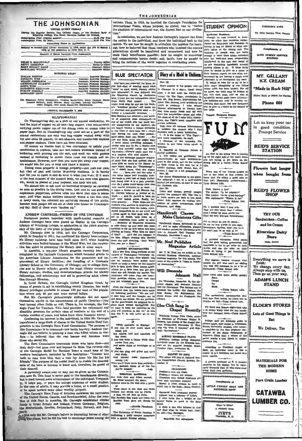# THE JOHNSONIAN

ar Session The Official Organ of the St<br>College, The South Carolina College for the on Price (regular session Price, By Mail....... SLOD Per Yea  $\overline{a}$ 

Advertising Rates on Aunites ad-class metter November 31, 1923, under the Act of March 1879, at the postoffice in Rock Hall, 8. C.

mber of South Card na Press Ass

TORIAL STAF

| <b>BUSINESS STAFF</b> |                  |  |
|-----------------------|------------------|--|
|                       | Business Manager |  |

| WILSON JOSSELSON  Assistant Business Manager                           |  |  |  |  |
|------------------------------------------------------------------------|--|--|--|--|
|                                                                        |  |  |  |  |
|                                                                        |  |  |  |  |
| ELIZABETH KERLULAS  Asastant Business Manager                          |  |  |  |  |
| EVELYN JOHNSON  Assistant Business Manager (                           |  |  |  |  |
|                                                                        |  |  |  |  |
| <b>REPORTERS</b>                                                       |  |  |  |  |
| Post Monday, Angle President country, Australia, Area program, and the |  |  |  |  |

Greene Stewart, Ruth Beturn, vagnous mementaen, Mary Philips, J.

### FRIDAY, DECEMBER 6, 1935

### KLEPTOMANIA?

On Thanksgiving day, as a part of our annual celebration, we had the kind of supper we all like-bag supper. This necessitated carrying pienic supper out of the dining room at dinner time in paper bags. But on Thanksgiving cay (and not as a part of the annual celebration) not only was bag supper waiked away with but also some 25 giasses. 1b salt abakers, and numberless napking pper shakers. These have not been returned.

Of course we realize that it was convenient to enfold your dwiches in napkins, take out sait ceitars wholesale instea  $\overline{d}$  of bothering with pouring out the sait, and waik out with glasses instead of bothering to collect them from old friends and acquaintances. However, now that you have put away your supper,

we would like for you to stop and think a minute.<br>We would like for you to stop and think a minute.<br>Dining room property is college property—not just our own,<br>but that of past and iuiture Winthrop students. It is hardly fair for you to claim it and do with it what you w.s.s. If it were to the best interest of the student hody, we are sure that glasses. would be placed at your disposal, sut they are not spaced.<br>We should be placed at your disposal, sut they are not.

as soon as possible to the dining room. One look at the glassless<br>napkinless, pepperless, saltiess table will show that this is neces sary. And what makes matters inhnitely worse is the fact that, in many cases, the innocent are suffering instead of the guilty, because most people did not sit at their own tables on Thunkson. ing day. Half of them were "broken up."

### ANDREW CARNEGIE-FRIEND OF THE UNIVERSE

ous posters bedecked with much-upoted remarks of Andrew Carnegie have been piaced on display in the Carnegie<br>Library of Winthrop College, in celebration of the 100th anniversary of the birth of the great plilanthropist.

Carnegie died in 1919, but the Carnegie Corporation, which he founded in 1911, has continued his library benefactions.<br>No library buildings have been built since 1917, when building<br>activities were helted because of the World War, but the corporation has sided in promoting the tibrary idea in other ways.<br>In America, a ten-year library program recently has been

completed by the Carnegie Corporation which included grants to the American Library Association for the promotion and improvement of library facilities; the founding of a Graduate<br>Library School at the University of Chicago; aid to college libra ries and to library schools; grants for rural library extension; library surveys, studies, and demonstrations; grants for library fellowships, and scholarships and aid in promoting adult educarough libraries.

In Great Britain, the Carnegie United Kingdom Trust, by m Great Drinks, in Garnegie United Kingtom Trues, by<br>means of grants to aid in establishing county libraries, has made<br>library privileges available to aimost 100 per cent of the popula-<br>tion where only 60 per cent were ser

But Mr. Carnegie's philanthropic attitudes did not spend then nselves wholly in the advancement of public libraries--they bent toward other fields as well. There is, for example, the Car-<br>negrie Fund for Teachers. This fund provides for retirement and disability pensions for certain class of teachers at the end of a atta will continue to like as." At the critical work of the end of a atta will continue to like as." At the critical member of years, and takes from them fi

Continuing his interest in the individual, in 1904 Mr. Carnegie DESCRIPTION of the Cartes in the United States Steel Corporation to the Carnegie Hero Fund Commission. The purpose of this Commission is to commend that in the purpose of transferred a large block of shares in the United States Steel Corthis Commission is to commend—not incite bravery. Andrew Carnestle did not believe in praising a man who killed others in war-- he believed that the real heroes and heroines were farethose who saved life.

The Hern Commission commends those who have done ir duty-but gone over and beyond its lines. The reverse side of the Carnegie Medal for Heroism bears a small map of the or two two-morger necast for rerevision beates a small map of the section behavior weakern hemisphere, encircled by the insertption: "Greater love hath no man than this, that a man lay down his life for his friends." The p their descent

A pecuniary award may or may not be given as the Commis-<br>slon sees fit. This fund is never paid to the beneficiaries directly, sion sees fit. This fund is never paid to the beneficiaries directly,<br>but is used toward some alwarement of the individual. Frequent-<br>by, it helps pay, or pays the college expenses of some student.<br>In the case of adults,

funds in Great Britain and Ireland, France Germany, Belgium, the Netherlands, Swedon, Switzerland, Italy, Norway, and Den-

颴

murn.<br><sub>16</sub>52-bidly did Mr. Carnegie believe in decorating haroes of other<br>What increase but he did his best to encourage peace among the

nations. Thus, in 1910, he founded the Carnegie Foundation for International Peace, whose purpose, he stated, was to "haster<br>the sholition of international way the foulest blot on our civilizathe abolition of inter tion.

THE IOHNGONIAN

In conclusion, we see how Andrew Carnegie's interest ran from<br>the nation to the individual, and from the individual back to the nation. We see how he sought to stimulate the impetus for learn-<br>ing; how he believed that those teachers who inspired the coming generations should be benefitted and reverenced, and how he made their beneficance possible; how he sought to encourage and commemorate have deads; and leath has be sought to bring the nations of the world together in everlasting peace.



who, I hear, got her information direct<br>from Emily Post herself. . . . You<br>\*ally must stop by and see Liz Walk-<br>r's "sunshine garden"—all made out  $\frac{1}{2}$ of charcoal and grapefruit seed - it's  $Miss Malethus has adopted a new method of acquiling class attempts to one of how many classes. The following class statements are not more. The following class statements are not possible, and the use of how many classes are not possible. The use of how many classes are not possible, and the use of how many classes are not possible. The use of how many classes are not possible, and the use of how many classes are not possible. The use of how many classes are not possible, and the use of how many classes are not possible. The use of how many classes are not possible, and the use of how many classes are not possible. The use of how many classes are not possible, and the use of how many classes are not possible. The use of how many classes are not possible, and the use of how many classes are not possible. The use of how many classes are not possible, and the use of how many classes are not possible. The use of how many classes are not possible, and the use of how many classes are not possible. The use of$ 

State Makehuan has adopted a member-<br>according the state Makehuan has adopted a new methi-<br> $>24$  of scaling<br>regions are helder as a state of her pupils who has made her-<br> $>24$  best state in the state of the pupils who has Johnson's nouse from the missue, represented themselves as an art critic a  $\alpha$ 

not at all fooled, took them on a sympation from one as a state to attice of the state of the solution of the condition of the material of  $10$  and state of the material of  $10$  and state of the state of the state of the

m the hall shoutine "Hest owe me a dimel

rol own as dimit a set from control and the set from control and a set from control of the set of the set of the set of the set of the set of the set of the set of the set of the set of the set of the set of the set of the evening's good time.

From the Eweet Exter News we have<br>discovered that the cadeta have made<br>the following potitions: "We are real-<br>y nice boys, and the thought ran up of the core of a photos. We are petition-<br>and down our spines. We are petition-<br>place these wicked Springfields. But<br>we want to keep our uniforms so the<br>second spine of the spine of the spine

(With apologue to Kipling)<br>you can do your math when<br>about you<br>tre raising hell and temptiate

 $\frac{1}{2}$ 

he ...<br>*s*u can write<br>retes flout out you.<br>: think of moonlight or  $\frac{1}{2}$ 

re i

dates.<br>ou can plug and grind and v<br>and study,<br>ad thereby make approbati<br>scanty L.s;

ng<br>u'll k es;<br>know more than anybody<br>mit, think of all the fu  $\frac{1}{4}$ 

### BIBLICAL BASEBALL

de first and Adam second: St. Peter umpired the game, theory with a pitci

 $\overline{a}$ er<br>While Ruth in the field won far Goliath was struck out by David,<br>A base hit off Abel by Cain,<br>The Prodigal Gon made one home run<br>Brother Nosh gave out checks fo

-Forida Plambcau

The University of North Carolina is<br>blishing a daily campes newspaper<br>h a special Bunday edition. The Unit

Start holiday in the proper = to Clemson to a dance, Usual lovely to Glemoon to a dance. Usual lovely control time. I at last mest the widely-pub-<br>itched thy The Tiger, circulation: 2,-<br>itched thy The Tiger, circulation: 2,-<br>coop Mr. Hog Recown. Expectations function<br>filled. The beloved, her table their low metal **SUITE BANK DOL WILL** Yet most of all do I miss Oill's maintenance and .

piece, une liger Take time off between intermis Take time off between intermissions<br>to tabulate the reasons why I find

to tabulate the reasons why I find<br>clemeon such a lovely leadinting.<br> $1$ . It is the home of "The Tiger"-<br>and, more important, its staff.<br> $2$ . Because of the monastic life<br> $\frac{2}{3}$ . Because of the monastic life<br>woman in a

woman in any form (even mine) is<br>aelcome.<br>3. Dancing at Clemson dances is<br>purely incidental.

Figure 11 and the method and the particular of the conditional contractions are the method of the control of the control of the control of the control of the control of the control of the control of the control of the cont

the Clemean side.<br>
New, 30:<br>
New and threats prevail naught<br>  $\frac{1}{1}$ 22.13 the moder's will. The fire a.<br>  $m$ . train carries me back to the Alma<br>
Minker. Life rezumes its cruding pro-<br>
cession of minor annoyanges, zepid<br>

### Handicraft Classes Make Christmas Gifts

Handieraft classes, sponsored by the 'Y", met to make silhoustics, plaques<br>and wooden articles for Christmas pres-min in Johnson Hall Tuesday and<br>min in Johnson Hall Tuesday and<br>fhursday, December 3 and 6.

# Mr. Noel Publishes

### Magazine Article Mr. T. W. Most has an author in the arnal Rusiness Prisestion or

pusiness magazine for this month **DE AC** n wie arw **Will Decorate** 

Johnson Hall On Thursday, December 12, the different classes will decorate Johnson<br>Tail for Christmas. The Seniors are to<br>Jecorate the Lobby; the Junking, the<br>Room; the Sobby; the Junking, the<br>Room; and the Freshmen, the<br>Library.

usee<br>Beev

 $\overline{a}$ 

**STAR** 

 $\frac{1}{10}$ 

Jbrary.

### Glee Club Sang In Chapel Recently

keep<br>Life. Winthrop College Olee Clubs, under<br>the direction of Professor Walter B.<br>Roberts, had charge of the chapel pro-<br>gram Wednesday, November 27, They<br>ang "To Tree O Country" and Kip-<br>ang "To Tree O Country" and Kip-

STRING ENSENSIAE PLAYS<br>Winthrop College String Execution of the Kiwania<br>furnished music for the Kiwania<br>quet at the Andrew Jackson H<br>Cuesday night, November 26,

SEXTET TO SING<br>statet will sing at Oak man and ∷∼

 $-2$ 

### $rac{1}{2}$

 $\begin{array}{c} \textbf{STL.0015m} \\ \textbf{Freabman mem ser.} \\ \textbf{Freabman mem ser.} \\ \textbf{Treefore why should freabman get} \\ \textbf{Terefore why should freabman.} \\ \textbf{Terefore.} \\ \textbf{Morel: A.} \\ \textbf{Horel: A.} \\ \textbf{Horel: A.} \\ \textbf{Horel: A.} \\ \textbf{Horel: A.} \\ \textbf{Horel: A.} \\ \textbf{Horel: A.} \\ \textbf{Horel: A.} \\ \textbf{Horel: Bugin–Bates } \text{Sugden.} \end{array}$ 

Carnered from freshman papers:<br>Lilitput was a follower of Lyly's.<br>I went forth like a knight of the<br>lound Table in quest of the Holy  $\frac{1}{1}$ nouus<br>Cheall

Quall. A delst is one who believes in God<br>and does what he thinks best, Don't<br>we all t--The Spotlight.



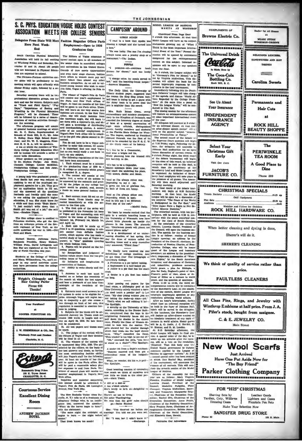### S. C. PHYS. EDUCATION VOGUE HOLDS CONTEST ASSOCIATION MEETS FOR COLLEGE SENIORS

Delegates From State Will Meet Fashion Magaziue Offers Paris Here Next Week-End

South Carolina Physical Ed on will hold its fall meeting at Winthrop Friday and Saturday, De ber 13 and 14. About 150 peop who are interested in Physical Edu are expected to attend. The Clemson-Purman exhibition soc

cer game will be preliminary to the meeting which will open officially with ner Friday night, followed by a so-

Saturday morning there will be two sion groups, one for men and one for women. Subjects such "Track and Field Sports." "Play Dava." 긊 will be follo of vario through  $out$  the  $i$ 

e afternoon program will consider e afternoon propera will consider a<br>shell consider a which can be a shell as a shell and of Rock Eill, S. O., Magnital<br>radial of Rock Eill, S. O., Magnital Freehold Superior and Dr. W. Danglink, Freehold Superior<br>8. O. E.  $R<sub>c</sub>$  $\overline{a}$ . Kell

Num table discussions.<br>
Colher speakers on the program will Dr. Shelton Phelps; Jess Neely,<br>
1 Dr. Shelton Phelps; Jess Neely,<br>
enhyterian College; Lomite McMillan,<br>
enhyterian College; and Bob Jones,<br>
enhyterian College;

A young lady who gradu oudly<br>ed to ed prou A young andy who graduated providy<br>from Smith last year was reduced to<br>phyment agencies for a job. They gave<br>phyment agencies for a form of the They gave<br>her an application bank to fill out,<br>and the ansetwed all the questi

of our seasy assessments makes the reference biased and then wrote "Bryn Mawr." [smite for the system of the system of the system of the system of the system of a system of a system of a system of a system of a system of a

Ben Hur are registered at the Univer-<br>sity of North Carolina this year.

Students at the College of William<br>nd Mary, Williamsburg, Va., can't en-<br>age in any aerial activities unless<br>hey have permission from the college and Mary, William gage 1<br>they h uthorities



**Courteous Service Excellent Dining** Room

ANDREW JACKSON

Employment-Open to 1936 **Graduates Only** The Editors of Vogue announce a areer contest open to all membe senior class in accredited colleges and universities in the United States

Outside of rare movie opportunities and even rarer stage chances, fashior work offers to women more pay and<br>more future than almost any other<br>business occupation. As an aid to talented young women who wish to enter<br>this field, Vogue is offering its Prix de Paris.

(in stress, vogue as viterang as avras un<br>
Paris.<br>
The whate the Paris of Nguabi Print de Paris<br>
The Paris and New York diffuse of the Vini<br>
Universe as a New York of the Ulma<br>
Universe and New York of the Ulma<br>
Will be sp

contest.<br>
You do not have to be a Vegue sub-<br>
You do not have to be a Vegue sub-<br>
scriber to enfor this contest. Of course<br>
it is important that you read Vogue<br>
just as you would study a text book for<br>
The following regula

are concouring regulations of the con-<br>test have been announced:<br>L. Each entrant must be a member<br>of the graduating class of 1839 in a<br>U. C. coulse or university which grants<br>a recognised B. A. degree.<br>E. The contest will

A Am context will constant of two cars in the answered by the enfrants and gradient behaviour of the judges as any college tost paper would be graded; and, second, a thesis on some general fashion sub-

ject.<br>3. Each entrant must fill out an ens. assessment must must be thanks may be trance blank. These blanks may be mailed immediately or with the an-

a wave are the college of the set of the set of the set of the set of the set of the set of the set of the set of the set of the set of the set of the set of the set of the set of the set of the set of the set of the set

or repets will be grated on the following points:<br>can be complicant and judgment of<br>ashion values drawn from the two pre-<br>eding issues of Vogue.<br>the channel imagination in<br>resentation of fashion.<br> $(6)$  Ability to write cle

(c) Ability to write the test must be cutable (a)<br> $\frac{1}{2}$ . Answers to each test must be clusted on or before the terministic of  $\sim$  10 or because and been a posterate of not later than . Alter must<br>high of the terminis

year. At least six montan or new true that<br>will be spint in the Paris office. She<br>will be paid a reasonable salary plus<br>her expenses to and from Paris. The<br>winner of second place will receive six<br>months' employment in Vogu

measures on densited an energing non-Mark tween<br>
Inguishes and material concerning non-Mark tween<br>
This contest should be addressed to A dill or a double scholar<br>
Vogue's Prix de Paris, 420 Lexington A ten o'clock scholar<br>

The New Rochelle Tatler (New Ro- There's no use in living contracts and the construction of the contract of the contract of the contract of Alleghany College who, in an intellic We wore that the girls "rules should i Decoration Committee; Analysis and Alleghany College who, in an

"I read in a book that Apollo was a tree. "He was lucky. The one I'm cl ways turns into a jewelry shop or a restaurant."-The Indian **STREET** ×1 presume-ah-everyone heal dresses for dinner," said the lordi suth "I charge extra for meals served in

GIRLS AGAIN

THE JOHNSONIAN

MODEL LEAGUE OF NATIONS

ord," said the bos rding-house kee Answers Magazine.

The Daily Illini, the University The Daily illini, the Universe the Fields student papers of the Fields the Fields of the Fields of the Army team is to prove the field papers of the Army team is to prove the prove the papers in magnitude than the sword. footnme =..<br>that th

Mrs. Ruth Bryan Owen<br>xtraordinary and minister nie Mr. Ruth Bryan Owen, energy extending paid more extending to the Kingdom of Denmark, was awarded the homorary degree of detection of of laws at a special convention of other has a special convention of plus. Attinguished

"I.'s fun to be a Communist,<br>And wear a bright red tis,<br>While planning how the bloated<br>Are horribly to die.

It's fun to be a Caputs

Squint aldeways down your nose,<br>And teach the underdog his place, and teach the underdog his place, his place.

And so I'm always either one. Depending out may n soy.<br>It gives me lots of glorious fun,<br>As both of them are funny.

And so I'm always either one. Depending which is best;<br>And in this am I no different<br>From any of the rest,"

We learn by remote control that the We learn by remove connect and gate and given it is given a get the University of Wisconsin now have like the place it is phone in the boundary phetic like place is a same phone in the boundary meets will please not connec

er phone calla." nent of an embar-It is a develop at us a development of an embarrassing attuation of last apring. One<br>day the dean of women called the<br>boarding house and a deep masculine<br>vote answered, "Third floor." vote<sup>n</sup> al

We finally have received the real definitions of college students. And we go them from The Critograph of Lynchburg College.<br>
A Freshman is a pic bottor bathag.<br>
A Freshman is a pic bottor bathage.<br>
A Japanese is a hilf-ba

A Senior is a pla that has soaked

Good breeding consists of concealing<br>now much we think of ourselves and<br>now little we think on the other per-<br>son.—Mark Twain.

when the statements is one: "You deceived me before our rangements formulties; Robble James, begins to burn -- the night before off." The same well charmen of the Social Committee; behind a burn -- the night before off."

**CAMPUSIN' AROUND COMPLIMENTS OF** (Continued From Page One)<br>o'clock this afternoon. At that tim Browne Electric Co. a o cuen una material contra de subject.<br>Model League will have as its subject. **BROKESSERSSERSERS** Think Is the Most Important International Event of the Year." Formal dis-The Universal Drink sion will be opened by contestants designated for the extemporaneou Confocto contest on this subject. Informal responses will be open to any speake from the floor.<br>As 3 o'elock, the League subject will<br>be "Germany's Piea for Memel," to be<br>led by Virginia McKeithen. This disla Made Here by The Coca-Cola **Bottling Co.** cusy will afford the basis for the Rock Hill, S. C. econd improving responses become improving responses b ass by con **TORESSERMANNASSANA** lm ediately following this the Presh man Debaters' League will take charge fairs Regarded by the College Pr See Us Ahont men." At the same time a pane<br>"How the League Works," will be Your Insurance ucted in Cito Hall. The closing session for the afternoon will feature an exter **INDEPENDENT** on converter the communication.<br>On some important internation **INSURANCE** of the year. All delegates will convene at 6 o'cloc **AGENCY** for an informal dinner. At that time For an informal diamer. As uses um;<br>
for an after-diamer speech conter" will keep a mail the general subsets of<br>
read the dechades of Pointy . The econd reunal diamericans is<br>
being the dechades of Pointy . The econd reun an after-dimer speech contest<br>held on the general subject ";<br>tional Personalities of Today." e.<br>"intern: **Select Your Christmas Gift** Early Visit Our Store **JACOB'S FURNITURE CO.** da Rackets ... Pire Seta<br>Andirons \*\*\*\*\*\*\*\*\*\*\*\*\*\*\*\*\*\*\*\* Watcher Ire Fresuent of Preston Charles, of Presp.<br>Irelation of Preston Charles, of Presp.<br>Int guest of the League and honorary<br>Int president; an address by the president. real success on the negative in address by the president.<br>
and president; an address by the president-<br>
of left-t; responses; a discussion of "Wom-<br>
en's Rights," by the South American<br>
delegates; and discussions of German and minorities; problems menacing<br>world peace, a plea for Ethiopia, a<br>plea for Italy, England's point of view, Prance's point of view, abus or de maked no or before the twentile of local paper. The matter of Mile mass is a memory to what the matter in the matter of the matter of the matter of the matter of the matter of the sense of the sense of the sense of the se ce to worl peace, and the question of sanctions.<br>From 11:30 to 12:30, the third ex-

of all contests. This will con clude the seventh session of the Mudel

ue of Nations League of Nations.<br>
Officers of the Assembly for this<br>
year are as follows: Mary Virginia<br>
Plowden, President of Model League; Daniel. President of the Council; Madaline Padgette, Plotonical, Council; Madaline Reference; Plott tary and Treasurer; Marguerite Zeig-



for All H

at.

**DELICIOUS LUMCHER.** 

**SANDWICHES AND HOT** 

**DRIVES** 

 $=$ 

**Carolina Sweets** 

MUSIC STORE

**Just Arrived** Have One Put Aside Now for "The Boy Friend"

**Parker Clothing Company** .<br>1943 - Alisand III and a company and a company and a company and a company and a company and a company and a





.<br>—McGill Daily,